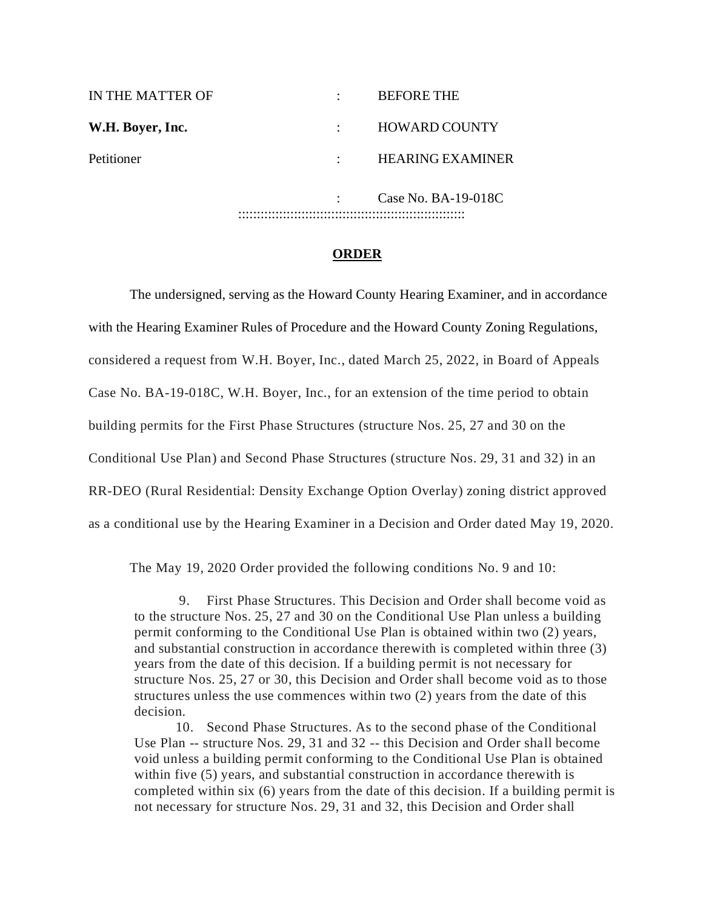| IN THE MATTER OF |  | <b>BEFORE THE</b>       |
|------------------|--|-------------------------|
| W.H. Boyer, Inc. |  | <b>HOWARD COUNTY</b>    |
| Petitioner       |  | <b>HEARING EXAMINER</b> |
|                  |  | Case No. BA-19-018C     |
|                  |  |                         |

## **ORDER**

The undersigned, serving as the Howard County Hearing Examiner, and in accordance with the Hearing Examiner Rules of Procedure and the Howard County Zoning Regulations, considered a request from W.H. Boyer, Inc., dated March 25, 2022, in Board of Appeals Case No. BA-19-018C, W.H. Boyer, Inc., for an extension of the time period to obtain building permits for the First Phase Structures (structure Nos. 25, 27 and 30 on the Conditional Use Plan) and Second Phase Structures (structure Nos. 29, 31 and 32) in an RR-DEO (Rural Residential: Density Exchange Option Overlay) zoning district approved as a conditional use by the Hearing Examiner in a Decision and Order dated May 19, 2020.

The May 19, 2020 Order provided the following conditions No. 9 and 10:

9. First Phase Structures. This Decision and Order shall become void as to the structure Nos. 25, 27 and 30 on the Conditional Use Plan unless a building permit conforming to the Conditional Use Plan is obtained within two (2) years, and substantial construction in accordance therewith is completed within three (3) years from the date of this decision. If a building permit is not necessary for structure Nos. 25, 27 or 30, this Decision and Order shall become void as to those structures unless the use commences within two (2) years from the date of this decision.

10. Second Phase Structures. As to the second phase of the Conditional Use Plan -- structure Nos. 29, 31 and 32 -- this Decision and Order shall become void unless a building permit conforming to the Conditional Use Plan is obtained within five (5) years, and substantial construction in accordance therewith is completed within six (6) years from the date of this decision. If a building permit is not necessary for structure Nos. 29, 31 and 32, this Decision and Order shall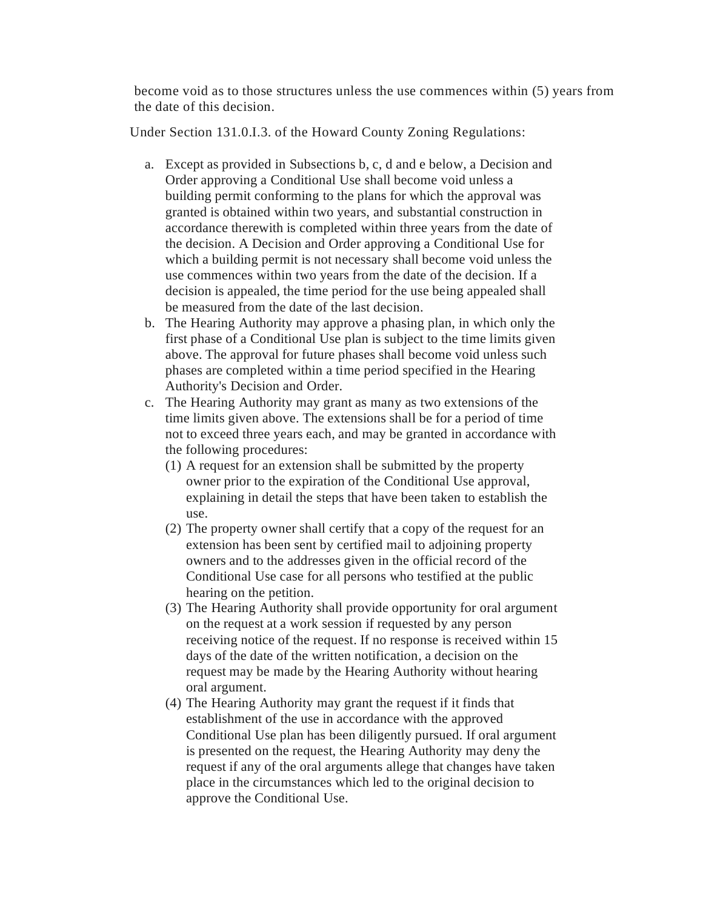become void as to those structures unless the use commences within (5) years from the date of this decision.

Under Section 131.0.I.3. of the Howard County Zoning Regulations:

- a. Except as provided in Subsections b, c, d and e below, a Decision and Order approving a Conditional Use shall become void unless a building permit conforming to the plans for which the approval was granted is obtained within two years, and substantial construction in accordance therewith is completed within three years from the date of the decision. A Decision and Order approving a Conditional Use for which a building permit is not necessary shall become void unless the use commences within two years from the date of the decision. If a decision is appealed, the time period for the use being appealed shall be measured from the date of the last decision.
- b. The Hearing Authority may approve a phasing plan, in which only the first phase of a Conditional Use plan is subject to the time limits given above. The approval for future phases shall become void unless such phases are completed within a time period specified in the Hearing Authority's Decision and Order.
- c. The Hearing Authority may grant as many as two extensions of the time limits given above. The extensions shall be for a period of time not to exceed three years each, and may be granted in accordance with the following procedures:
	- (1) A request for an extension shall be submitted by the property owner prior to the expiration of the Conditional Use approval, explaining in detail the steps that have been taken to establish the use.
	- (2) The property owner shall certify that a copy of the request for an extension has been sent by certified mail to adjoining property owners and to the addresses given in the official record of the Conditional Use case for all persons who testified at the public hearing on the petition.
	- (3) The Hearing Authority shall provide opportunity for oral argument on the request at a work session if requested by any person receiving notice of the request. If no response is received within 15 days of the date of the written notification, a decision on the request may be made by the Hearing Authority without hearing oral argument.
	- (4) The Hearing Authority may grant the request if it finds that establishment of the use in accordance with the approved Conditional Use plan has been diligently pursued. If oral argument is presented on the request, the Hearing Authority may deny the request if any of the oral arguments allege that changes have taken place in the circumstances which led to the original decision to approve the Conditional Use.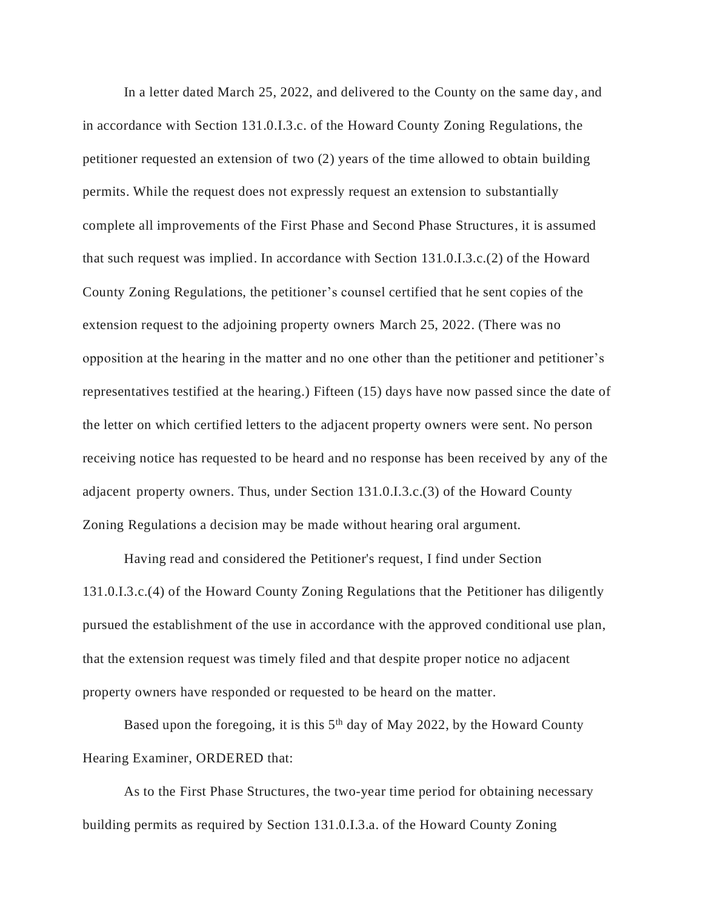In a letter dated March 25, 2022, and delivered to the County on the same day, and in accordance with Section 131.0.I.3.c. of the Howard County Zoning Regulations, the petitioner requested an extension of two (2) years of the time allowed to obtain building permits. While the request does not expressly request an extension to substantially complete all improvements of the First Phase and Second Phase Structures, it is assumed that such request was implied. In accordance with Section 131.0.I.3.c.(2) of the Howard County Zoning Regulations, the petitioner's counsel certified that he sent copies of the extension request to the adjoining property owners March 25, 2022. (There was no opposition at the hearing in the matter and no one other than the petitioner and petitioner's representatives testified at the hearing.) Fifteen (15) days have now passed since the date of the letter on which certified letters to the adjacent property owners were sent. No person receiving notice has requested to be heard and no response has been received by any of the adjacent property owners. Thus, under Section 131.0.I.3.c.(3) of the Howard County Zoning Regulations a decision may be made without hearing oral argument.

Having read and considered the Petitioner's request, I find under Section 131.0.I.3.c.(4) of the Howard County Zoning Regulations that the Petitioner has diligently pursued the establishment of the use in accordance with the approved conditional use plan, that the extension request was timely filed and that despite proper notice no adjacent property owners have responded or requested to be heard on the matter.

Based upon the foregoing, it is this 5<sup>th</sup> day of May 2022, by the Howard County Hearing Examiner, ORDERED that:

As to the First Phase Structures, the two-year time period for obtaining necessary building permits as required by Section 131.0.I.3.a. of the Howard County Zoning